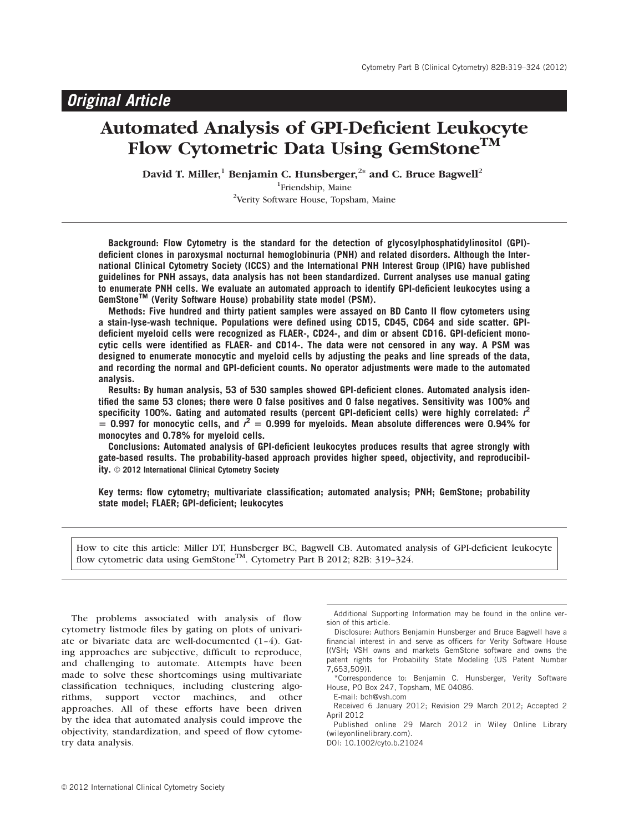# Automated Analysis of GPI-Deficient Leukocyte Flow Cytometric Data Using GemStone<sup>TM</sup>

David T. Miller,<sup>1</sup> Benjamin C. Hunsberger,<sup>2\*</sup> and C. Bruce Bagwell<sup>2</sup>

<sup>1</sup>Friendship, Maine

<sup>2</sup>Verity Software House, Topsham, Maine

**Background: Flow Cytometry is the standard for the detection of glycosylphosphatidylinositol (GPI) deficient clones in paroxysmal nocturnal hemoglobinuria (PNH) and related disorders. Although the International Clinical Cytometry Society (ICCS) and the International PNH Interest Group (IPIG) have published guidelines for PNH assays, data analysis has not been standardized. Current analyses use manual gating to enumerate PNH cells. We evaluate an automated approach to identify GPI-deficient leukocytes using a GemStoneTM (Verity Software House) probability state model (PSM).**

**Methods: Five hundred and thirty patient samples were assayed on BD Canto II flow cytometers using a stain-lyse-wash technique. Populations were defined using CD15, CD45, CD64 and side scatter. GPIdeficient myeloid cells were recognized as FLAER-, CD24-, and dim or absent CD16. GPI-deficient monocytic cells were identified as FLAER- and CD14-. The data were not censored in any way. A PSM was designed to enumerate monocytic and myeloid cells by adjusting the peaks and line spreads of the data, and recording the normal and GPI-deficient counts. No operator adjustments were made to the automated analysis.**

**Results: By human analysis, 53 of 530 samples showed GPI-deficient clones. Automated analysis identified the same 53 clones; there were 0 false positives and 0 false negatives. Sensitivity was 100% and** specificity 100%. Gating and automated results (percent GPI-deficient cells) were highly correlated: r<sup>2</sup>  $= 0.997$  for monocytic cells, and  $r^2 = 0.999$  for myeloids. Mean absolute differences were 0.94% for **monocytes and 0.78% for myeloid cells.**

**Conclusions: Automated analysis of GPI-deficient leukocytes produces results that agree strongly with gate-based results. The probability-based approach provides higher speed, objectivity, and reproducibil**ity. © 2012 International Clinical Cytometry Society

**Key terms: flow cytometry; multivariate classification; automated analysis; PNH; GemStone; probability state model; FLAER; GPI-deficient; leukocytes**

How to cite this article: Miller DT, Hunsberger BC, Bagwell CB. Automated analysis of GPI-deficient leukocyte flow cytometric data using GemStone<sup>TM</sup>. Cytometry Part B 2012; 82B: 319-324.

The problems associated with analysis of flow cytometry listmode files by gating on plots of univariate or bivariate data are well-documented (1–4). Gating approaches are subjective, difficult to reproduce, and challenging to automate. Attempts have been made to solve these shortcomings using multivariate classification techniques, including clustering algorithms, support vector machines, and other approaches. All of these efforts have been driven by the idea that automated analysis could improve the objectivity, standardization, and speed of flow cytometry data analysis.

Additional Supporting Information may be found in the online version of this article.

Disclosure: Authors Benjamin Hunsberger and Bruce Bagwell have a financial interest in and serve as officers for Verity Software House [(VSH; VSH owns and markets GemStone software and owns the patent rights for Probability State Modeling (US Patent Number 7,653,509)].

<sup>\*</sup>Correspondence to: Benjamin C. Hunsberger, Verity Software House, PO Box 247, Topsham, ME 04086.

E-mail: bch@vsh.com

Received 6 January 2012; Revision 29 March 2012; Accepted 2 April 2012

Published online 29 March 2012 in Wiley Online Library (wileyonlinelibrary.com).

DOI: 10.1002/cyto.b.21024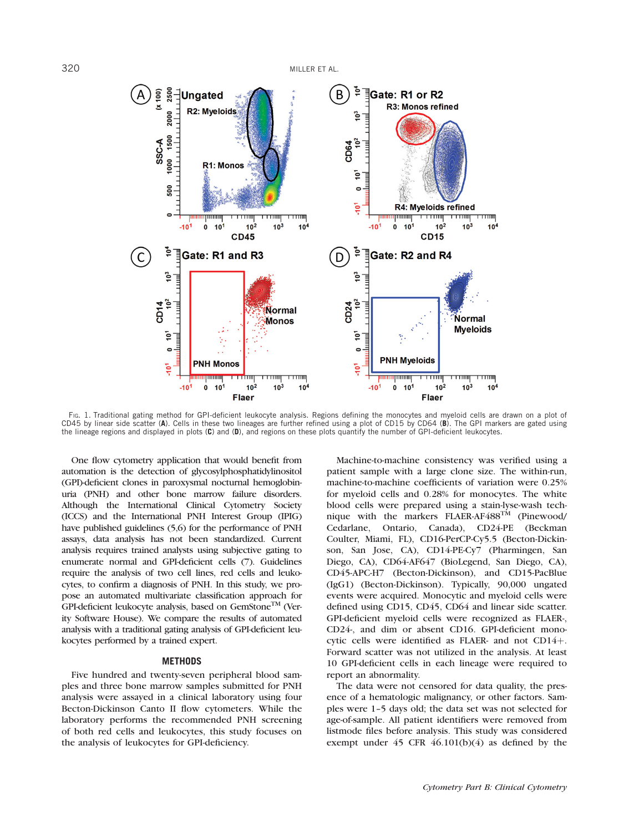320 MILLER ET AL.



FIG. 1. Traditional gating method for GPI-deficient leukocyte analysis. Regions defining the monocytes and myeloid cells are drawn on a plot of CD45 by linear side scatter (**A**). Cells in these two lineages are further refined using a plot of CD15 by CD64 (**B**). The GPI markers are gated using the lineage regions and displayed in plots (**C**) and (**D**), and regions on these plots quantify the number of GPI-deficient leukocytes.

One flow cytometry application that would benefit from automation is the detection of glycosylphosphatidylinositol (GPI)-deficient clones in paroxysmal nocturnal hemoglobinuria (PNH) and other bone marrow failure disorders. Although the International Clinical Cytometry Society (ICCS) and the International PNH Interest Group (IPIG) have published guidelines (5,6) for the performance of PNH assays, data analysis has not been standardized. Current analysis requires trained analysts using subjective gating to enumerate normal and GPI-deficient cells (7). Guidelines require the analysis of two cell lines, red cells and leukocytes, to confirm a diagnosis of PNH. In this study, we propose an automated multivariate classification approach for  $GPI$ -deficient leukocyte analysis, based on  $GemStone^{TM}$  (Verity Software House). We compare the results of automated analysis with a traditional gating analysis of GPI-deficient leukocytes performed by a trained expert.

#### **METHODS**

Five hundred and twenty-seven peripheral blood samples and three bone marrow samples submitted for PNH analysis were assayed in a clinical laboratory using four Becton-Dickinson Canto II flow cytometers. While the laboratory performs the recommended PNH screening of both red cells and leukocytes, this study focuses on the analysis of leukocytes for GPI-deficiency.

Machine-to-machine consistency was verified using a patient sample with a large clone size. The within-run, machine-to-machine coefficients of variation were 0.25% for myeloid cells and 0.28% for monocytes. The white blood cells were prepared using a stain-lyse-wash technique with the markers FLAER-AF488 $^{TM}$  (Pinewood/ Cedarlane, Ontario, Canada), CD24-PE (Beckman Coulter, Miami, FL), CD16-PerCP-Cy5.5 (Becton-Dickinson, San Jose, CA), CD14-PE-Cy7 (Pharmingen, San Diego, CA), CD64-AF647 (BioLegend, San Diego, CA), CD45-APC-H7 (Becton-Dickinson), and CD15-PacBlue (IgG1) (Becton-Dickinson). Typically, 90,000 ungated events were acquired. Monocytic and myeloid cells were defined using CD15, CD45, CD64 and linear side scatter. GPI-deficient myeloid cells were recognized as FLAER-, CD24-, and dim or absent CD16. GPI-deficient monocytic cells were identified as FLAER- and not  $CD14+$ . Forward scatter was not utilized in the analysis. At least 10 GPI-deficient cells in each lineage were required to report an abnormality.

The data were not censored for data quality, the presence of a hematologic malignancy, or other factors. Samples were 1–5 days old; the data set was not selected for age-of-sample. All patient identifiers were removed from listmode files before analysis. This study was considered exempt under  $45$  CFR  $46.101(b)(4)$  as defined by the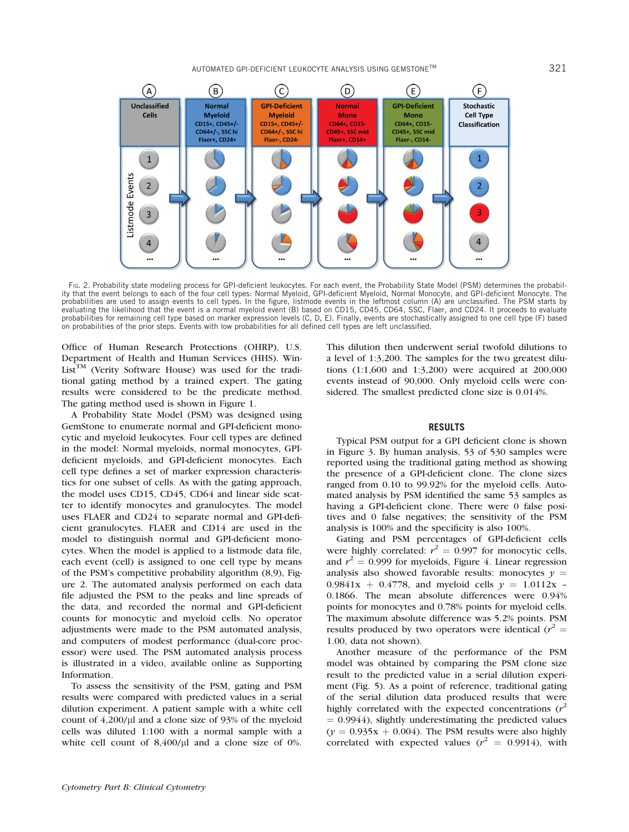

FIG. 2. Probability state modeling process for GPI-deficient leukocytes. For each event, the Probability State Model (PSM) determines the probability that the event belongs to each of the four cell types: Normal Myeloid, GPI-deficient Myeloid, Normal Monocyte, and GPI-deficient Monocyte. The probabilities are used to assign events to cell types. In the figure, listmode events in the leftmost column (A) are unclassified. The PSM starts by evaluating the likelihood that the event is a normal myeloid event (B) based on CD15, CD45, CD64, SSC, Flaer, and CD24. It proceeds to evaluate probabilities for remaining cell type based on marker expression levels (C, D, E). Finally, events are stochastically assigned to one cell type (F) based on probabilities of the prior steps. Events with low probabilities for all defined cell types are left unclassified.

Office of Human Research Protections (OHRP), U.S. Department of Health and Human Services (HHS). Win-List<sup>TM</sup> (Verity Software House) was used for the traditional gating method by a trained expert. The gating results were considered to be the predicate method. The gating method used is shown in Figure 1.

A Probability State Model (PSM) was designed using GemStone to enumerate normal and GPI-deficient monocytic and myeloid leukocytes. Four cell types are defined in the model: Normal myeloids, normal monocytes, GPIdeficient myeloids, and GPI-deficient monocytes. Each cell type defines a set of marker expression characteristics for one subset of cells. As with the gating approach, the model uses CD15, CD45, CD64 and linear side scatter to identify monocytes and granulocytes. The model uses FLAER and CD24 to separate normal and GPI-deficient granulocytes. FLAER and CD14 are used in the model to distinguish normal and GPI-deficient monocytes. When the model is applied to a listmode data file, each event (cell) is assigned to one cell type by means of the PSM's competitive probability algorithm (8,9), Figure 2. The automated analysis performed on each data file adjusted the PSM to the peaks and line spreads of the data, and recorded the normal and GPI-deficient counts for monocytic and myeloid cells. No operator adjustments were made to the PSM automated analysis, and computers of modest performance (dual-core processor) were used. The PSM automated analysis process is illustrated in a video, available online as Supporting Information.

To assess the sensitivity of the PSM, gating and PSM results were compared with predicted values in a serial dilution experiment. A patient sample with a white cell count of  $4,200/\mu$  and a clone size of 93% of the myeloid cells was diluted 1:100 with a normal sample with a white cell count of  $8,400/\mu$  and a clone size of 0%.

This dilution then underwent serial twofold dilutions to a level of 1:3,200. The samples for the two greatest dilutions (1:1,600 and 1:3,200) were acquired at 200,000 events instead of 90,000. Only myeloid cells were considered. The smallest predicted clone size is 0.014%.

# **RESULTS**

Typical PSM output for a GPI deficient clone is shown in Figure 3. By human analysis, 53 of 530 samples were reported using the traditional gating method as showing the presence of a GPI-deficient clone. The clone sizes ranged from 0.10 to 99.92% for the myeloid cells. Automated analysis by PSM identified the same 53 samples as having a GPI-deficient clone. There were 0 false positives and 0 false negatives; the sensitivity of the PSM analysis is 100% and the specificity is also 100%.

Gating and PSM percentages of GPI-deficient cells were highly correlated:  $r^2 = 0.997$  for monocytic cells, and  $r^2 = 0.999$  for myeloids, Figure 4. Linear regression analysis also showed favorable results: monocytes  $\nu =$ 0.9841x + 0.4778, and myeloid cells  $y = 1.0112x -$ 0.1866. The mean absolute differences were 0.94% points for monocytes and 0.78% points for myeloid cells. The maximum absolute difference was 5.2% points. PSM results produced by two operators were identical  $(r^2 =$ 1.00, data not shown).

Another measure of the performance of the PSM model was obtained by comparing the PSM clone size result to the predicted value in a serial dilution experiment (Fig. 5). As a point of reference, traditional gating of the serial dilution data produced results that were highly correlated with the expected concentrations  $(r^2)$  $= 0.9944$ ), slightly underestimating the predicted values  $(y = 0.935x + 0.004)$ . The PSM results were also highly correlated with expected values  $(r^2 = 0.9914)$ , with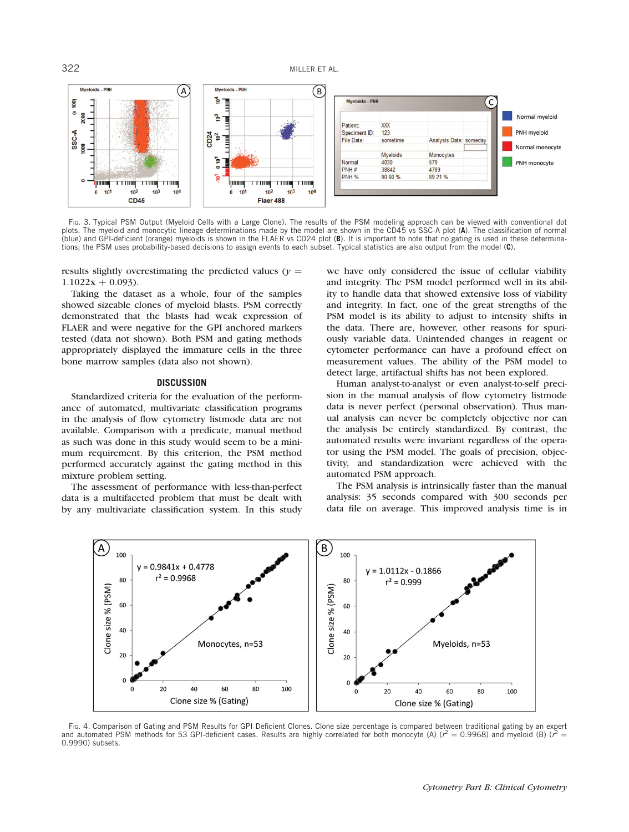

FIG. 3. Typical PSM Output (Myeloid Cells with a Large Clone). The results of the PSM modeling approach can be viewed with conventional dot plots. The myeloid and monocytic lineage determinations made by the model are shown in the CD45 vs SSC-A plot (**A**). The classification of normal (blue) and GPI-deficient (orange) myeloids is shown in the FLAER vs CD24 plot (**B**). It is important to note that no gating is used in these determinations; the PSM uses probability-based decisions to assign events to each subset. Typical statistics are also output from the model (**C**).

results slightly overestimating the predicted values ( $y =$  $1.1022x + 0.093$ .

Taking the dataset as a whole, four of the samples showed sizeable clones of myeloid blasts. PSM correctly demonstrated that the blasts had weak expression of FLAER and were negative for the GPI anchored markers tested (data not shown). Both PSM and gating methods appropriately displayed the immature cells in the three bone marrow samples (data also not shown).

## **DISCUSSION**

Standardized criteria for the evaluation of the performance of automated, multivariate classification programs in the analysis of flow cytometry listmode data are not available. Comparison with a predicate, manual method as such was done in this study would seem to be a minimum requirement. By this criterion, the PSM method performed accurately against the gating method in this mixture problem setting.

The assessment of performance with less-than-perfect data is a multifaceted problem that must be dealt with by any multivariate classification system. In this study

we have only considered the issue of cellular viability and integrity. The PSM model performed well in its ability to handle data that showed extensive loss of viability and integrity. In fact, one of the great strengths of the PSM model is its ability to adjust to intensity shifts in the data. There are, however, other reasons for spuriously variable data. Unintended changes in reagent or cytometer performance can have a profound effect on measurement values. The ability of the PSM model to detect large, artifactual shifts has not been explored.

Human analyst-to-analyst or even analyst-to-self precision in the manual analysis of flow cytometry listmode data is never perfect (personal observation). Thus manual analysis can never be completely objective nor can the analysis be entirely standardized. By contrast, the automated results were invariant regardless of the operator using the PSM model. The goals of precision, objectivity, and standardization were achieved with the automated PSM approach.

The PSM analysis is intrinsically faster than the manual analysis: 35 seconds compared with 300 seconds per data file on average. This improved analysis time is in



FIG. 4. Comparison of Gating and PSM Results for GPI Deficient Clones. Clone size percentage is compared between traditional gating by an expert and automated PSM methods for 53 GPI-deficient cases. Results are highly correlated for both monocyte (A) ( $r^2 = 0.9968$ ) and myeloid (B) ( $r^2 =$ 0.9990) subsets.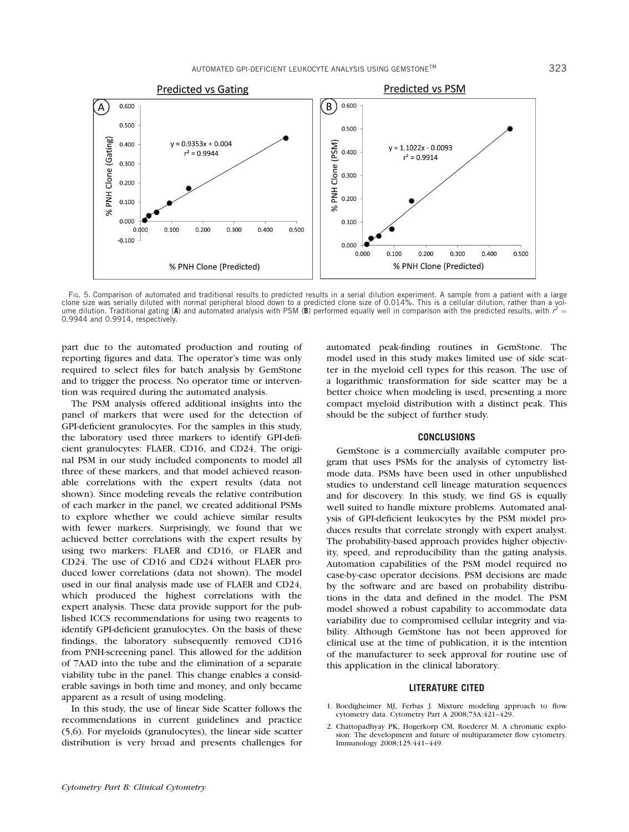

FIG. 5. Comparison of automated and traditional results to predicted results in a serial dilution experiment. A sample from a patient with a large clone size was serially diluted with normal peripheral blood down to a predicted clone size of 0.014%. This is a cellular dilution, rather than a vol-<br>ume dilution. Traditional gating (A) and automated analysis with PSM (B 0.9944 and 0.9914, respectively.

part due to the automated production and routing of reporting figures and data. The operator's time was only required to select files for batch analysis by GemStone and to trigger the process. No operator time or intervention was required during the automated analysis.

The PSM analysis offered additional insights into the panel of markers that were used for the detection of GPI-deficient granulocytes. For the samples in this study, the laboratory used three markers to identify GPI-deficient granulocytes: FLAER, CD16, and CD24. The original PSM in our study included components to model all three of these markers, and that model achieved reasonable correlations with the expert results (data not shown). Since modeling reveals the relative contribution of each marker in the panel, we created additional PSMs to explore whether we could achieve similar results with fewer markers. Surprisingly, we found that we achieved better correlations with the expert results by using two markers: FLAER and CD16, or FLAER and CD24. The use of CD16 and CD24 without FLAER produced lower correlations (data not shown). The model used in our final analysis made use of FLAER and CD24, which produced the highest correlations with the expert analysis. These data provide support for the published ICCS recommendations for using two reagents to identify GPI-deficient granulocytes. On the basis of these findings, the laboratory subsequently removed CD16 from PNH-screening panel. This allowed for the addition of 7AAD into the tube and the elimination of a separate viability tube in the panel. This change enables a considerable savings in both time and money, and only became apparent as a result of using modeling.

In this study, the use of linear Side Scatter follows the recommendations in current guidelines and practice (5,6). For myeloids (granulocytes), the linear side scatter distribution is very broad and presents challenges for

automated peak-finding routines in GemStone. The model used in this study makes limited use of side scatter in the myeloid cell types for this reason. The use of a logarithmic transformation for side scatter may be a better choice when modeling is used, presenting a more compact myeloid distribution with a distinct peak. This should be the subject of further study.

#### **CONCLUSIONS**

GemStone is a commercially available computer program that uses PSMs for the analysis of cytometry listmode data. PSMs have been used in other unpublished studies to understand cell lineage maturation sequences and for discovery. In this study, we find GS is equally well suited to handle mixture problems. Automated analysis of GPI-deficient leukocytes by the PSM model produces results that correlate strongly with expert analyst. The probability-based approach provides higher objectivity, speed, and reproducibility than the gating analysis. Automation capabilities of the PSM model required no case-by-case operator decisions. PSM decisions are made by the software and are based on probability distributions in the data and defined in the model. The PSM model showed a robust capability to accommodate data variability due to compromised cellular integrity and viability. Although GemStone has not been approved for clinical use at the time of publication, it is the intention of the manufacturer to seek approval for routine use of this application in the clinical laboratory.

## **LITERATURE CITED**

- 1. Boedigheimer MJ, Ferbas J. Mixture modeling approach to flow cytometry data. Cytometry Part A 2008;73A:421–429.
- 2. Chattopadhyay PK, Hogerkorp CM, Roederer M. A chromatic explosion: The development and future of multiparameter flow cytometry. Immunology 2008;125:441–449.